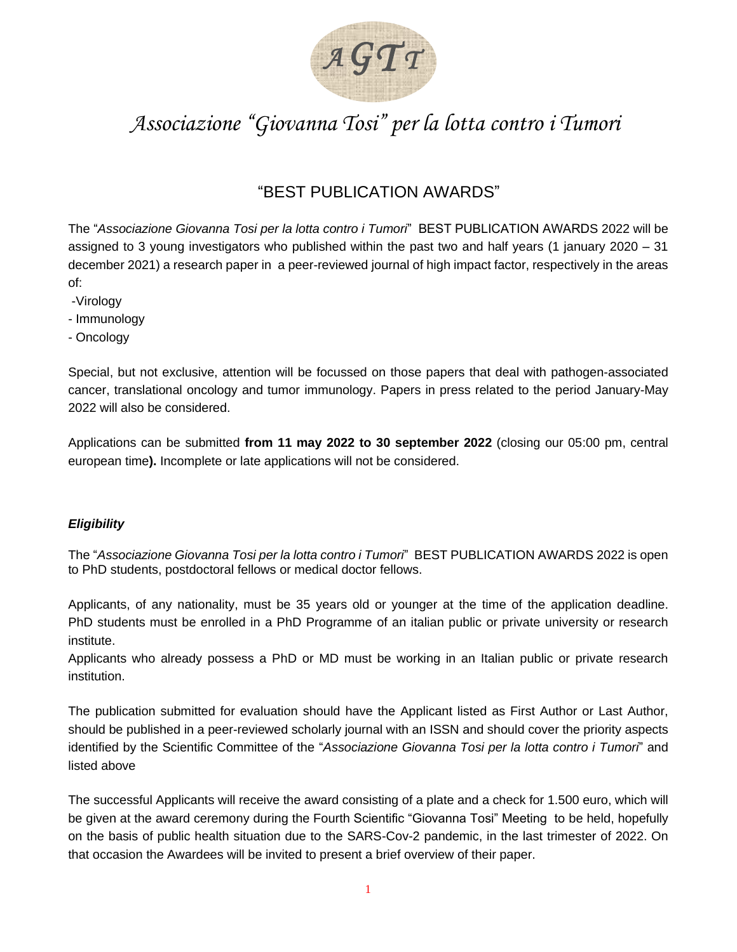

# *Associazione "Giovanna Tosi" per la lotta contro i Tumori*

# "BEST PUBLICATION AWARDS"

The "*Associazione Giovanna Tosi per la lotta contro i Tumori*" BEST PUBLICATION AWARDS 2022 will be assigned to 3 young investigators who published within the past two and half years (1 january 2020 – 31 december 2021) a research paper in a peer-reviewed journal of high impact factor, respectively in the areas of:

- -Virology
- Immunology
- Oncology

Special, but not exclusive, attention will be focussed on those papers that deal with pathogen-associated cancer, translational oncology and tumor immunology. Papers in press related to the period January-May 2022 will also be considered.

Applications can be submitted **from 11 may 2022 to 30 september 2022** (closing our 05:00 pm, central european time**).** Incomplete or late applications will not be considered.

### *Eligibility*

The "*Associazione Giovanna Tosi per la lotta contro i Tumori*" BEST PUBLICATION AWARDS 2022 is open to PhD students, postdoctoral fellows or medical doctor fellows.

Applicants, of any nationality, must be 35 years old or younger at the time of the application deadline. PhD students must be enrolled in a PhD Programme of an italian public or private university or research institute.

Applicants who already possess a PhD or MD must be working in an Italian public or private research institution.

The publication submitted for evaluation should have the Applicant listed as First Author or Last Author, should be published in a peer-reviewed scholarly journal with an ISSN and should cover the priority aspects identified by the Scientific Committee of the "*Associazione Giovanna Tosi per la lotta contro i Tumori*" and listed above

The successful Applicants will receive the award consisting of a plate and a check for 1.500 euro, which will be given at the award ceremony during the Fourth Scientific "Giovanna Tosi" Meeting to be held, hopefully on the basis of public health situation due to the SARS-Cov-2 pandemic, in the last trimester of 2022. On that occasion the Awardees will be invited to present a brief overview of their paper.